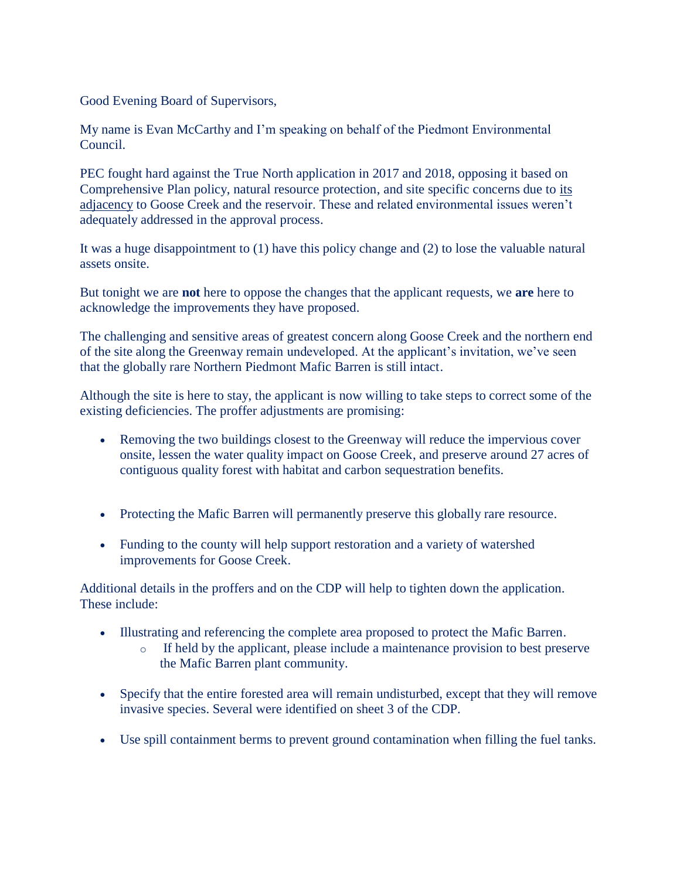Good Evening Board of Supervisors,

My name is Evan McCarthy and I'm speaking on behalf of the Piedmont Environmental Council.

PEC fought hard against the True North application in 2017 and 2018, opposing it based on Comprehensive Plan policy, natural resource protection, and site specific concerns due to its adjacency to Goose Creek and the reservoir. These and related environmental issues weren't adequately addressed in the approval process.

It was a huge disappointment to (1) have this policy change and (2) to lose the valuable natural assets onsite.

But tonight we are **not** here to oppose the changes that the applicant requests, we **are** here to acknowledge the improvements they have proposed.

The challenging and sensitive areas of greatest concern along Goose Creek and the northern end of the site along the Greenway remain undeveloped. At the applicant's invitation, we've seen that the globally rare Northern Piedmont Mafic Barren is still intact.

Although the site is here to stay, the applicant is now willing to take steps to correct some of the existing deficiencies. The proffer adjustments are promising:

- Removing the two buildings closest to the Greenway will reduce the impervious cover onsite, lessen the water quality impact on Goose Creek, and preserve around 27 acres of contiguous quality forest with habitat and carbon sequestration benefits.
- Protecting the Mafic Barren will permanently preserve this globally rare resource.
- Funding to the county will help support restoration and a variety of watershed improvements for Goose Creek.

Additional details in the proffers and on the CDP will help to tighten down the application. These include:

- Illustrating and referencing the complete area proposed to protect the Mafic Barren.
	- o If held by the applicant, please include a maintenance provision to best preserve the Mafic Barren plant community.
- Specify that the entire forested area will remain undisturbed, except that they will remove invasive species. Several were identified on sheet 3 of the CDP.
- Use spill containment berms to prevent ground contamination when filling the fuel tanks.